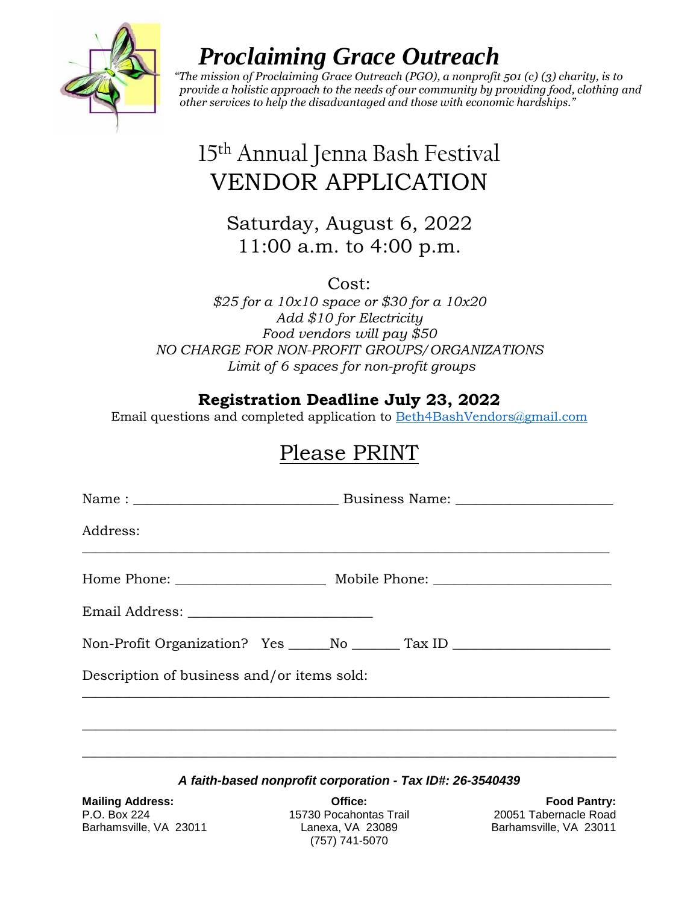

# *Proclaiming Grace Outreach*

 *"The mission of Proclaiming Grace Outreach (PGO), a nonprofit 501 (c) (3) charity, is to provide a holistic approach to the needs of our community by providing food, clothing and other services to help the disadvantaged and those with economic hardships."*

# 15 th Annual Jenna Bash Festival VENDOR APPLICATION

## Saturday, August 6, 2022 11:00 a.m. to 4:00 p.m.

Cost:

*\$25 for a 10x10 space or \$30 for a 10x20 Add \$10 for Electricity Food vendors will pay \$50 NO CHARGE FOR NON-PROFIT GROUPS/ORGANIZATIONS Limit of 6 spaces for non-profit groups* 

### **Registration Deadline July 23, 2022**

Email questions and completed application to [Beth4BashVendors@gmail.com](mailto:Beth4BashVendors@gmail.com)

## Please PRINT

| Address:                                   |                                                                                  |
|--------------------------------------------|----------------------------------------------------------------------------------|
|                                            |                                                                                  |
|                                            |                                                                                  |
|                                            | Non-Profit Organization? Yes _____No ________Tax ID ____________________________ |
| Description of business and/or items sold: |                                                                                  |
|                                            |                                                                                  |
|                                            |                                                                                  |

### *A faith-based nonprofit corporation - Tax ID#: 26-3540439*

**Mailing Address: Office: Food Pantry:** P.O. Box 224 15730 Pocahontas Trail 20051 Tabernacle Road Barhamsville, VA 23011 Lanexa, VA 23089 Barhamsville, VA 23011

(757) 741-5070